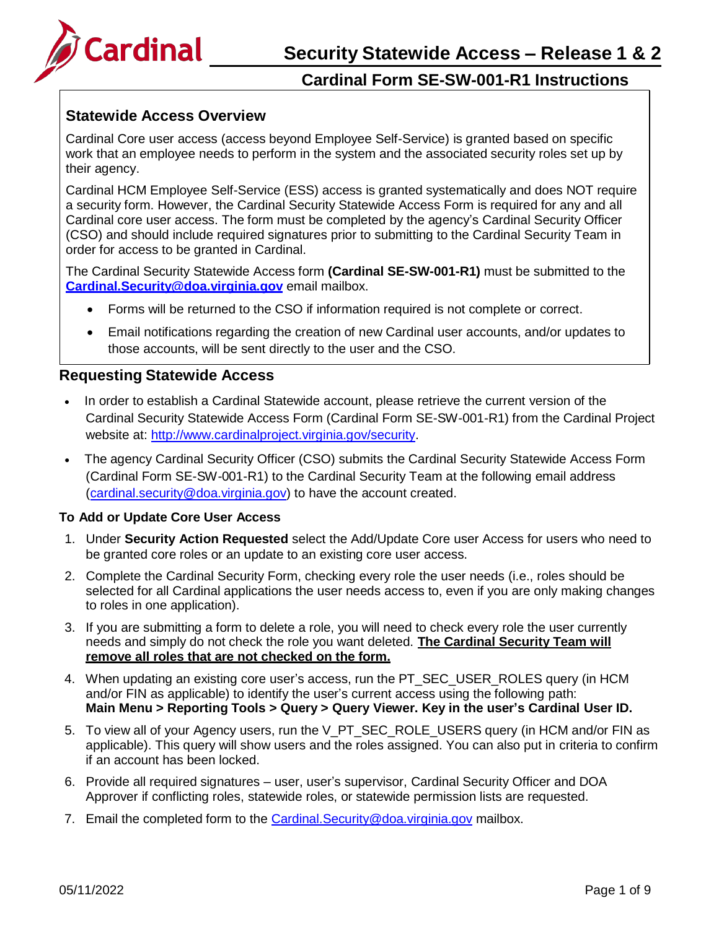

### **Statewide Access Overview**

Cardinal Core user access (access beyond Employee Self-Service) is granted based on specific work that an employee needs to perform in the system and the associated security roles set up by their agency.

Cardinal HCM Employee Self-Service (ESS) access is granted systematically and does NOT require a security form. However, the Cardinal Security Statewide Access Form is required for any and all Cardinal core user access. The form must be completed by the agency's Cardinal Security Officer (CSO) and should include required signatures prior to submitting to the Cardinal Security Team in order for access to be granted in Cardinal.

The Cardinal Security Statewide Access form **(Cardinal SE-SW-001-R1)** must be submitted to the **[Cardinal.Security@doa.virginia.gov](mailto:Cardinal.Security@doa.virginia.gov)** email mailbox.

- Forms will be returned to the CSO if information required is not complete or correct.
- Email notifications regarding the creation of new Cardinal user accounts, and/or updates to those accounts, will be sent directly to the user and the CSO.

### **Requesting Statewide Access**

- In order to establish a Cardinal Statewide account, please retrieve the current version of the Cardinal Security Statewide Access Form (Cardinal Form SE-SW-001-R1) from the Cardinal Project website at: [http://www.cardinalproject.virginia.gov/security.](http://www.cardinalproject.virginia.gov/security)
- The agency Cardinal Security Officer (CSO) submits the Cardinal Security Statewide Access Form (Cardinal Form SE-SW-001-R1) to the Cardinal Security Team at the following email address [\(cardinal.security@doa.virginia.gov\)](mailto:cardinal.security@doa.virginia.gov) to have the account created.

#### **To Add or Update Core User Access**

- 1. Under **Security Action Requested** select the Add/Update Core user Access for users who need to be granted core roles or an update to an existing core user access.
- 2. Complete the Cardinal Security Form, checking every role the user needs (i.e., roles should be selected for all Cardinal applications the user needs access to, even if you are only making changes to roles in one application).
- 3. If you are submitting a form to delete a role, you will need to check every role the user currently needs and simply do not check the role you want deleted. **The Cardinal Security Team will remove all roles that are not checked on the form.**
- 4. When updating an existing core user's access, run the PT\_SEC\_USER\_ROLES query (in HCM and/or FIN as applicable) to identify the user's current access using the following path: **Main Menu > Reporting Tools > Query > Query Viewer. Key in the user's Cardinal User ID.**
- 5. To view all of your Agency users, run the V\_PT\_SEC\_ROLE\_USERS query (in HCM and/or FIN as applicable). This query will show users and the roles assigned. You can also put in criteria to confirm if an account has been locked.
- 6. Provide all required signatures user, user's supervisor, Cardinal Security Officer and DOA Approver if conflicting roles, statewide roles, or statewide permission lists are requested.
- 7. Email the completed form to the [Cardinal.Security@doa.virginia.gov](mailto:Cardinal.Security@doa.virginia.gov) mailbox.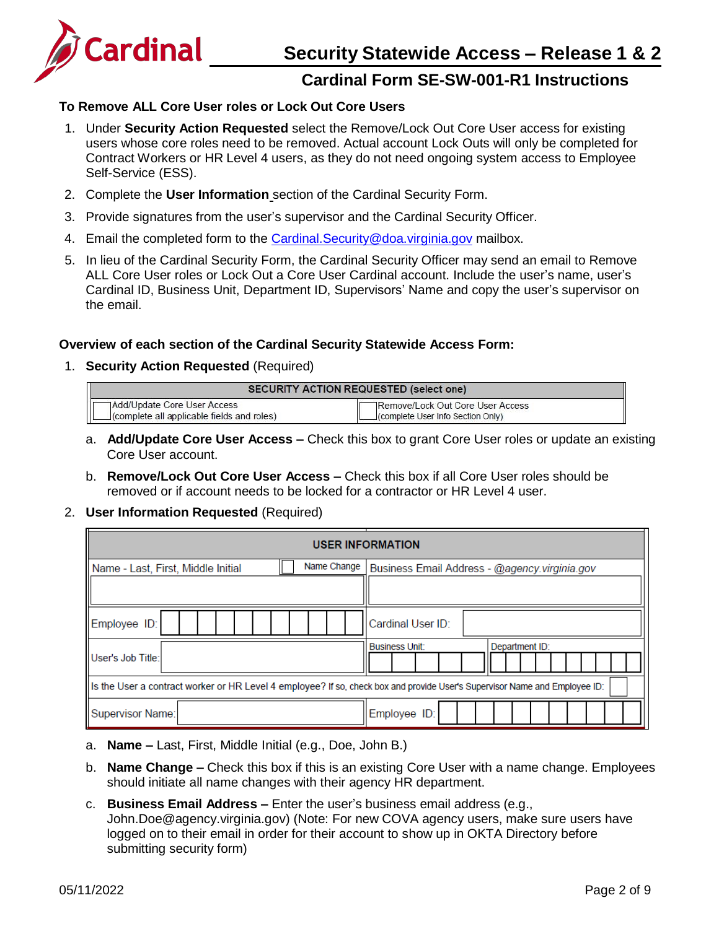

### **To Remove ALL Core User roles or Lock Out Core Users**

- 1. Under **Security Action Requested** select the Remove/Lock Out Core User access for existing users whose core roles need to be removed. Actual account Lock Outs will only be completed for Contract Workers or HR Level 4 users, as they do not need ongoing system access to Employee Self-Service (ESS).
- 2. Complete the **User Information** section of the Cardinal Security Form.
- 3. Provide signatures from the user's supervisor and the Cardinal Security Officer.
- 4. Email the completed form to the Cardinal. Security@doa.virginia.gov mailbox.
- 5. In lieu of the Cardinal Security Form, the Cardinal Security Officer may send an email to Remove ALL Core User roles or Lock Out a Core User Cardinal account. Include the user's name, user's Cardinal ID, Business Unit, Department ID, Supervisors' Name and copy the user's supervisor on the email.

#### **Overview of each section of the Cardinal Security Statewide Access Form:**

1. **Security Action Requested** (Required)

| <b>SECURITY ACTION REQUESTED (select one)</b> |                                   |
|-----------------------------------------------|-----------------------------------|
| Add/Update Core User Access                   | ∏Remove/Lock Out Core User Access |
| (complete all applicable fields and roles)    | (complete User Info Section Only) |

- a. **Add/Update Core User Access –** Check this box to grant Core User roles or update an existing Core User account.
- b. **Remove/Lock Out Core User Access –** Check this box if all Core User roles should be removed or if account needs to be locked for a contractor or HR Level 4 user.
- 2. **User Information Requested** (Required)

| <b>USER INFORMATION</b>                                                                                                     |                                               |  |  |
|-----------------------------------------------------------------------------------------------------------------------------|-----------------------------------------------|--|--|
| Name Change<br>Name - Last, First, Middle Initial                                                                           | Business Email Address - @agency.virginia.gov |  |  |
|                                                                                                                             |                                               |  |  |
| Employee ID:                                                                                                                | Cardinal User ID:                             |  |  |
| User's Job Title:                                                                                                           | <b>Business Unit:</b><br>Department ID:       |  |  |
| [Is the User a contract worker or HR Level 4 employee? If so, check box and provide User's Supervisor Name and Employee ID: |                                               |  |  |
| Supervisor Name:                                                                                                            | Employee ID:                                  |  |  |

- a. **Name –** Last, First, Middle Initial (e.g., Doe, John B.)
- b. **Name Change –** Check this box if this is an existing Core User with a name change. Employees should initiate all name changes with their agency HR department.
- c. **Business Email Address –** Enter the user's business email address (e.g.[,](mailto:John.Doe@agency.virginia.gov) [John.Doe@agency.virginia.gov\)](mailto:John.Doe@agency.virginia.gov) (Note: For new COVA agency users, make sure users have logged on to their email in order for their account to show up in OKTA Directory before submitting security form)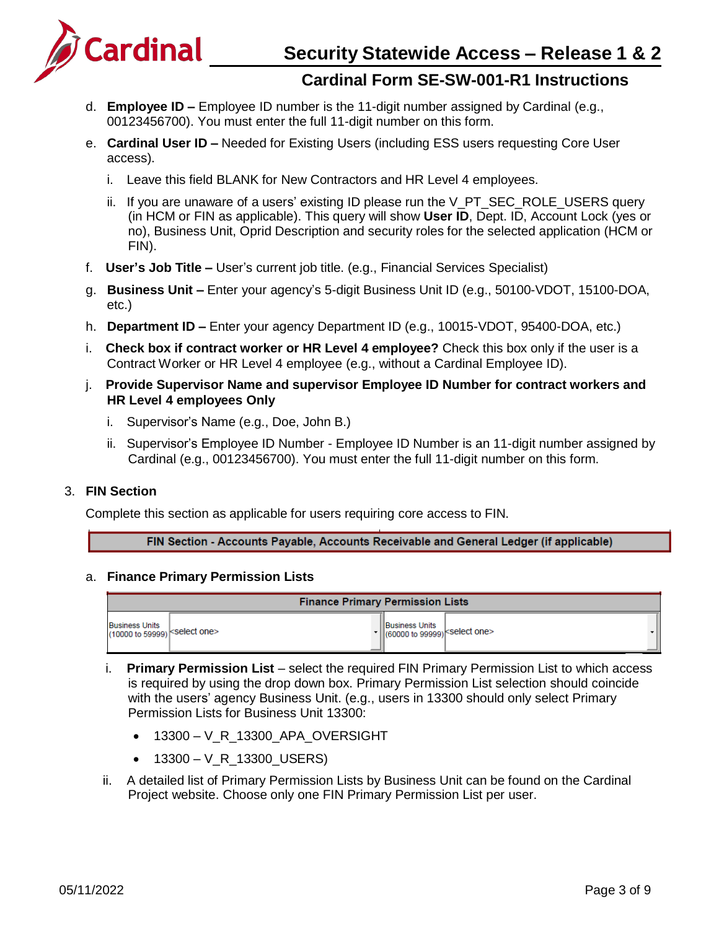

- d. **Employee ID –** Employee ID number is the 11-digit number assigned by Cardinal (e.g., 00123456700). You must enter the full 11-digit number on this form.
- e. **Cardinal User ID –** Needed for Existing Users (including ESS users requesting Core User access).
	- i. Leave this field BLANK for New Contractors and HR Level 4 employees.
	- ii. If you are unaware of a users' existing ID please run the V\_PT\_SEC\_ROLE\_USERS query (in HCM or FIN as applicable). This query will show **User ID**, Dept. ID, Account Lock (yes or no), Business Unit, Oprid Description and security roles for the selected application (HCM or FIN).
- f. **User's Job Title –** User's current job title. (e.g., Financial Services Specialist)
- g. **Business Unit –** Enter your agency's 5-digit Business Unit ID (e.g., 50100-VDOT, 15100-DOA, etc.)
- h. **Department ID –** Enter your agency Department ID (e.g., 10015-VDOT, 95400-DOA, etc.)
- i. **Check box if contract worker or HR Level 4 employee?** Check this box only if the user is a Contract Worker or HR Level 4 employee (e.g., without a Cardinal Employee ID).
- j. **Provide Supervisor Name and supervisor Employee ID Number for contract workers and HR Level 4 employees Only**
	- i. Supervisor's Name (e.g., Doe, John B.)
	- ii. Supervisor's Employee ID Number Employee ID Number is an 11-digit number assigned by Cardinal (e.g., 00123456700). You must enter the full 11-digit number on this form.

#### 3. **FIN Section**

Complete this section as applicable for users requiring core access to FIN.

FIN Section - Accounts Payable, Accounts Receivable and General Ledger (if applicable)

#### a. **Finance Primary Permission Lists**

| <b>Finance Primary Permission Lists</b>               |  |                                                                           |  |
|-------------------------------------------------------|--|---------------------------------------------------------------------------|--|
| <b>Business Units</b><br>(10000 to 59999) Select one> |  | <b>IBusiness Units</b><br><<    (60000 to 99999) <select one=""></select> |  |

- i. **Primary Permission List** select the required FIN Primary Permission List to which access is required by using the drop down box. Primary Permission List selection should coincide with the users' agency Business Unit. (e.g., users in 13300 should only select Primary Permission Lists for Business Unit 13300:
	- 13300 V\_R\_13300\_APA\_OVERSIGHT
	- 13300 V\_R\_13300\_USERS)
- ii. A detailed list of Primary Permission Lists by Business Unit can be found on the Cardinal Project website. Choose only one FIN Primary Permission List per user.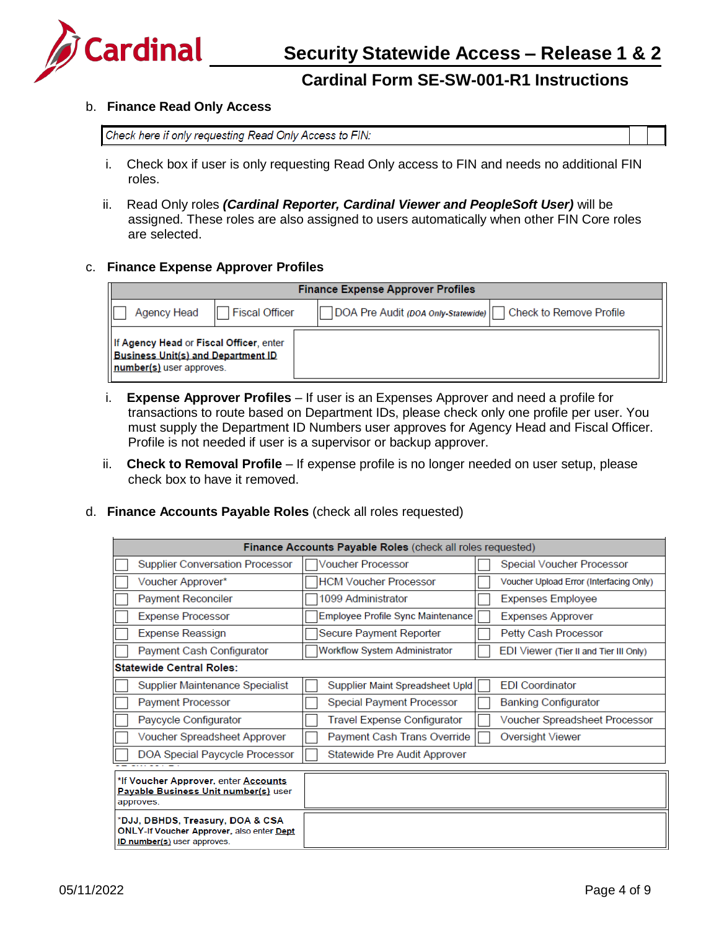

#### b. **Finance Read Only Access**

Check here if only requesting Read Only Access to FIN:

- i. Check box if user is only requesting Read Only access to FIN and needs no additional FIN roles.
- ii. Read Only roles *(Cardinal Reporter, Cardinal Viewer and PeopleSoft User)* will be assigned. These roles are also assigned to users automatically when other FIN Core roles are selected.

#### c. **Finance Expense Approver Profiles**

| <b>Finance Expense Approver Profiles</b>                                                                         |                                                               |  |
|------------------------------------------------------------------------------------------------------------------|---------------------------------------------------------------|--|
| <b>Fiscal Officer</b><br>Agency Head                                                                             | DOA Pre Audit (DOA Only Statewide)<br>Check to Remove Profile |  |
| If Agency Head or Fiscal Officer, enter<br><b>Business Unit(s) and Department ID</b><br>number(s) user approves. |                                                               |  |

- i. **Expense Approver Profiles**  If user is an Expenses Approver and need a profile for transactions to route based on Department IDs, please check only one profile per user. You must supply the Department ID Numbers user approves for Agency Head and Fiscal Officer. Profile is not needed if user is a supervisor or backup approver.
- ii. **Check to Removal Profile**  If expense profile is no longer needed on user setup, please check box to have it removed.

#### d. **Finance Accounts Payable Roles** (check all roles requested)

| <b>Finance Accounts Payable Roles (check all roles requested)</b>                                                   |                                      |                                         |
|---------------------------------------------------------------------------------------------------------------------|--------------------------------------|-----------------------------------------|
| <b>Supplier Conversation Processor</b>                                                                              | Voucher Processor                    | Special Voucher Processor               |
| Voucher Approver*                                                                                                   | <b>HCM Voucher Processor</b>         | Voucher Upload Error (Interfacing Only) |
| <b>Payment Reconciler</b>                                                                                           | 1099 Administrator                   | <b>Expenses Employee</b>                |
| <b>Expense Processor</b>                                                                                            | Employee Profile Sync Maintenance    | <b>Expenses Approver</b>                |
| <b>Expense Reassign</b>                                                                                             | Secure Payment Reporter              | Petty Cash Processor                    |
| Payment Cash Configurator                                                                                           | <b>Workflow System Administrator</b> | EDI Viewer (Tier II and Tier III Only)  |
| <b>Statewide Central Roles:</b>                                                                                     |                                      |                                         |
| Supplier Maintenance Specialist                                                                                     | Supplier Maint Spreadsheet Upld      | <b>EDI</b> Coordinator                  |
| <b>Payment Processor</b>                                                                                            | <b>Special Payment Processor</b>     | <b>Banking Configurator</b>             |
| Paycycle Configurator                                                                                               | Travel Expense Configurator          | Voucher Spreadsheet Processor           |
| Voucher Spreadsheet Approver                                                                                        | Payment Cash Trans Override          | Oversight Viewer                        |
| DOA Special Paycycle Processor                                                                                      | Statewide Pre Audit Approver         |                                         |
| *If Voucher Approver, enter Accounts<br>Payable Business Unit number(s) user                                        |                                      |                                         |
| approves.                                                                                                           |                                      |                                         |
| *DJJ, DBHDS, Treasury, DOA & CSA<br><b>ONLY-If Voucher Approver, also enter Dept</b><br>ID number(s) user approves. |                                      |                                         |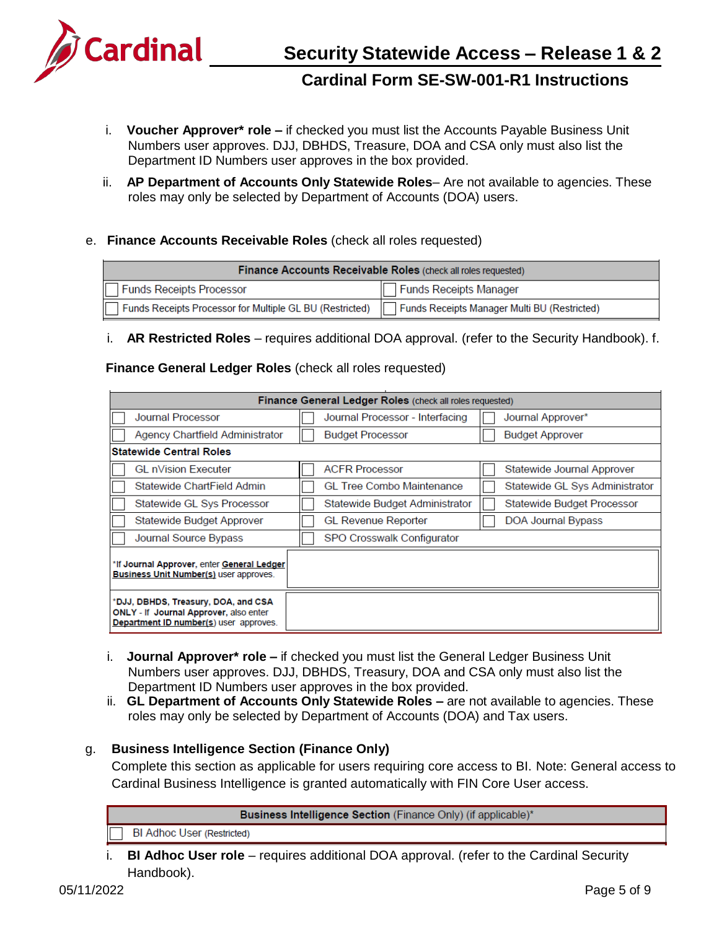

- i. **Voucher Approver\* role –** if checked you must list the Accounts Payable Business Unit Numbers user approves. DJJ, DBHDS, Treasure, DOA and CSA only must also list the Department ID Numbers user approves in the box provided.
- ii. **AP Department of Accounts Only Statewide Roles** Are not available to agencies. These roles may only be selected by Department of Accounts (DOA) users.
- e. **Finance Accounts Receivable Roles** (check all roles requested)

| <b>Finance Accounts Receivable Roles (check all roles requested)</b> |                                              |  |
|----------------------------------------------------------------------|----------------------------------------------|--|
| <b>Funds Receipts Processor</b>                                      | <b>Funds Receipts Manager</b>                |  |
| Funds Receipts Processor for Multiple GL BU (Restricted)             | Funds Receipts Manager Multi BU (Restricted) |  |

i. **AR Restricted Roles** – requires additional DOA approval. (refer to the Security Handbook). f.

#### **Finance General Ledger Roles** (check all roles requested)

| Finance General Ledger Roles (check all roles requested)                                                                       |                                  |                                |
|--------------------------------------------------------------------------------------------------------------------------------|----------------------------------|--------------------------------|
| <b>Journal Processor</b>                                                                                                       | Journal Processor - Interfacing  | Journal Approver*              |
| Agency Chartfield Administrator                                                                                                | <b>Budget Processor</b>          | <b>Budget Approver</b>         |
| <b>Statewide Central Roles</b>                                                                                                 |                                  |                                |
| <b>GL nVision Executer</b>                                                                                                     | <b>ACFR Processor</b>            | Statewide Journal Approver     |
| Statewide ChartField Admin                                                                                                     | <b>GL Tree Combo Maintenance</b> | Statewide GL Sys Administrator |
| Statewide GL Sys Processor                                                                                                     | Statewide Budget Administrator   | Statewide Budget Processor     |
| Statewide Budget Approver                                                                                                      | <b>GL Revenue Reporter</b>       | DOA Journal Bypass             |
| Journal Source Bypass                                                                                                          | SPO Crosswalk Configurator       |                                |
| *If Journal Approver, enter General Ledger<br><b>Business Unit Number(s)</b> user approves.                                    |                                  |                                |
| *DJJ, DBHDS, Treasury, DOA, and CSA<br><b>ONLY - If Journal Approver, also enter</b><br>Department ID number(s) user approves. |                                  |                                |

- i. **Journal Approver\* role –** if checked you must list the General Ledger Business Unit Numbers user approves. DJJ, DBHDS, Treasury, DOA and CSA only must also list the Department ID Numbers user approves in the box provided.
- ii. **GL Department of Accounts Only Statewide Roles –** are not available to agencies. These roles may only be selected by Department of Accounts (DOA) and Tax users.

### g. **Business Intelligence Section (Finance Only)**

Complete this section as applicable for users requiring core access to BI. Note: General access to Cardinal Business Intelligence is granted automatically with FIN Core User access.

Business Intelligence Section (Finance Only) (if applicable)\*

**BI Adhoc User (Restricted)** 

i. **BI Adhoc User role** – requires additional DOA approval. (refer to the Cardinal Security Handbook).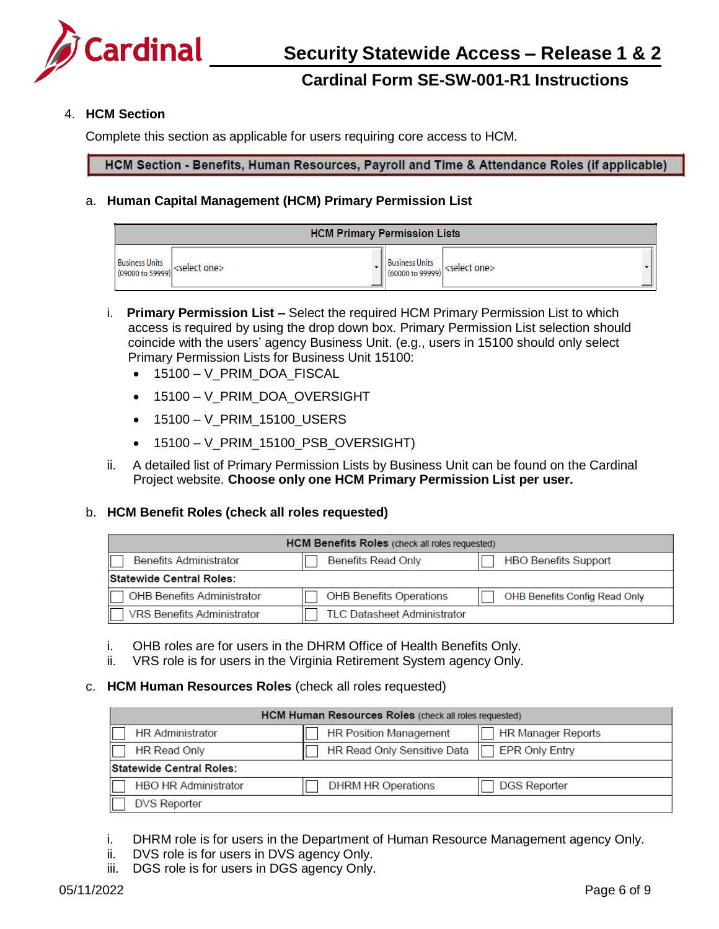

#### 4. **HCM Section**

Complete this section as applicable for users requiring core access to HCM.

HCM Section - Benefits, Human Resources, Payroll and Time & Attendance Roles (if applicable)

#### a. **Human Capital Management (HCM) Primary Permission List**

| <b>HCM Primary Permission Lists</b>                                                                          |  |  |                |                                                                  |
|--------------------------------------------------------------------------------------------------------------|--|--|----------------|------------------------------------------------------------------|
| <b>Business Units</b><br>$\left \frac{\text{business Units}}{\text{(09000 to 59999)}}\right $ < select one > |  |  | Business Units | $\left \frac{1}{160000 \text{ to } 99999)}\right $ < select one> |

- i. **Primary Permission List –** Select the required HCM Primary Permission List to which access is required by using the drop down box. Primary Permission List selection should coincide with the users' agency Business Unit. (e.g., users in 15100 should only select Primary Permission Lists for Business Unit 15100:
	- 15100 V\_PRIM\_DOA\_FISCAL
	- 15100 V PRIM DOA OVERSIGHT
	- 15100 V\_PRIM\_15100\_USERS
	- 15100 V\_PRIM\_15100\_PSB\_OVERSIGHT)
- ii. A detailed list of Primary Permission Lists by Business Unit can be found on the Cardinal Project website. **Choose only one HCM Primary Permission List per user.**

#### b. **HCM Benefit Roles (check all roles requested)**

| <b>HCM Benefits Roles</b> (check all roles requested) |                                    |                               |  |
|-------------------------------------------------------|------------------------------------|-------------------------------|--|
| <b>Benefits Administrator</b>                         | <b>Benefits Read Only</b>          | <b>HBO Benefits Support</b>   |  |
| <b>Statewide Central Roles:</b>                       |                                    |                               |  |
| <b>OHB Benefits Administrator</b>                     | <b>OHB Benefits Operations</b>     | OHB Benefits Config Read Only |  |
| <b>VRS Benefits Administrator</b>                     | <b>TLC Datasheet Administrator</b> |                               |  |

- i. OHB roles are for users in the DHRM Office of Health Benefits Only.
- ii. VRS role is for users in the Virginia Retirement System agency Only.

#### c. **HCM Human Resources Roles** (check all roles requested)

| <b>HCM Human Resources Roles</b> (check all roles requested) |                                    |                           |
|--------------------------------------------------------------|------------------------------------|---------------------------|
| <b>HR</b> Administrator                                      | <b>HR Position Management</b>      | <b>HR Manager Reports</b> |
| <b>HR Read Only</b>                                          | <b>HR Read Only Sensitive Data</b> | <b>EPR Only Entry</b>     |
| <b>Statewide Central Roles:</b>                              |                                    |                           |
| <b>HBO HR Administrator</b>                                  | <b>DHRM HR Operations</b>          | <b>DGS Reporter</b>       |
| <b>DVS Reporter</b>                                          |                                    |                           |
|                                                              |                                    |                           |

- i. DHRM role is for users in the Department of Human Resource Management agency Only.
- ii. DVS role is for users in DVS agency Only.
- iii. DGS role is for users in DGS agency Only.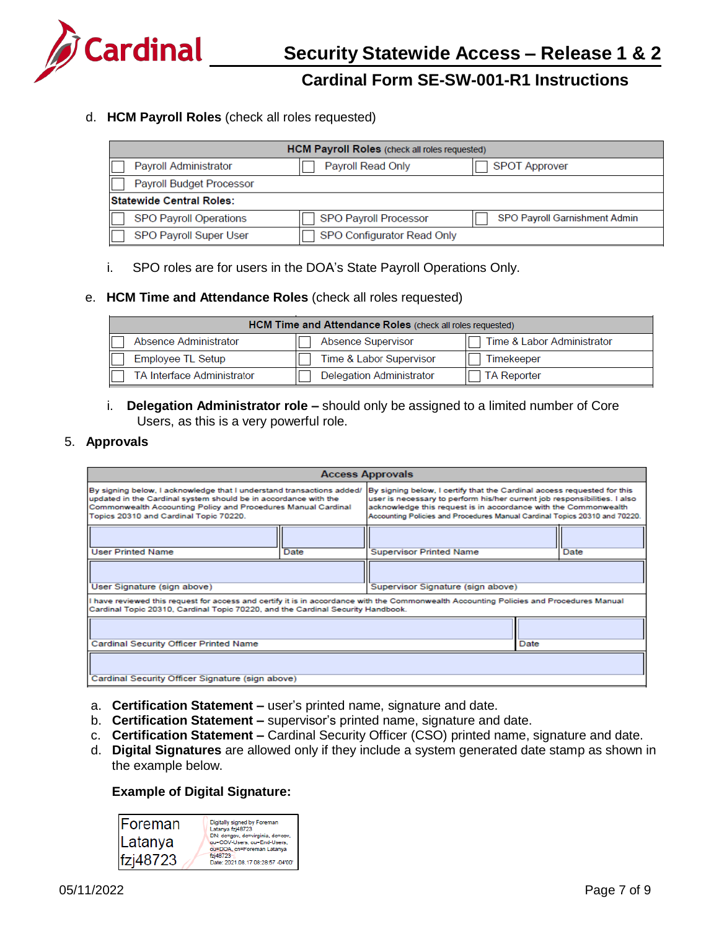

#### d. **HCM Payroll Roles** (check all roles requested)

| HCM Payroll Roles (check all roles requested) |                            |                               |
|-----------------------------------------------|----------------------------|-------------------------------|
| Payroll Administrator                         | Payroll Read Only          | <b>SPOT Approver</b>          |
| <b>Payroll Budget Processor</b>               |                            |                               |
| <b>Statewide Central Roles:</b>               |                            |                               |
| <b>SPO Payroll Operations</b>                 | SPO Payroll Processor      | SPO Payroll Garnishment Admin |
| <b>SPO Payroll Super User</b>                 | SPO Configurator Read Only |                               |

i. SPO roles are for users in the DOA's State Payroll Operations Only.

#### e. **HCM Time and Attendance Roles** (check all roles requested)

| HCM Time and Attendance Roles (check all roles requested)                        |                                 |                    |  |
|----------------------------------------------------------------------------------|---------------------------------|--------------------|--|
| <b>Absence Supervisor</b><br>Time & Labor Administrator<br>Absence Administrator |                                 |                    |  |
| Employee TL Setup                                                                | Time & Labor Supervisor         | Timekeeper         |  |
| <b>TA Interface Administrator</b>                                                | <b>Delegation Administrator</b> | <b>TA Reporter</b> |  |

#### i. **Delegation Administrator role –** should only be assigned to a limited number of Core Users, as this is a very powerful role.

#### 5. **Approvals**

| <b>Access Approvals</b>                                                                                                                                                                                                                             |      |                                                                                                                                                                                                                                                                                                       |  |      |  |
|-----------------------------------------------------------------------------------------------------------------------------------------------------------------------------------------------------------------------------------------------------|------|-------------------------------------------------------------------------------------------------------------------------------------------------------------------------------------------------------------------------------------------------------------------------------------------------------|--|------|--|
| By signing below, I acknowledge that I understand transactions added/<br>updated in the Cardinal system should be in accordance with the<br>Commonwealth Accounting Policy and Procedures Manual Cardinal<br>Topics 20310 and Cardinal Topic 70220. |      | By signing below, I certify that the Cardinal access requested for this<br>user is necessary to perform his/her current job responsibilities. I also<br>acknowledge this request is in accordance with the Commonwealth<br>Accounting Policies and Procedures Manual Cardinal Topics 20310 and 70220. |  |      |  |
|                                                                                                                                                                                                                                                     |      |                                                                                                                                                                                                                                                                                                       |  |      |  |
| <b>User Printed Name</b>                                                                                                                                                                                                                            | Date | <b>Supervisor Printed Name</b>                                                                                                                                                                                                                                                                        |  | Date |  |
|                                                                                                                                                                                                                                                     |      |                                                                                                                                                                                                                                                                                                       |  |      |  |
| User Signature (sign above)                                                                                                                                                                                                                         |      | Supervisor Signature (sign above)                                                                                                                                                                                                                                                                     |  |      |  |
| I have reviewed this request for access and certify it is in accordance with the Commonwealth Accounting Policies and Procedures Manual<br>Cardinal Topic 20310, Cardinal Topic 70220, and the Cardinal Security Handbook.                          |      |                                                                                                                                                                                                                                                                                                       |  |      |  |
|                                                                                                                                                                                                                                                     |      |                                                                                                                                                                                                                                                                                                       |  |      |  |
| Cardinal Security Officer Printed Name                                                                                                                                                                                                              |      | Date                                                                                                                                                                                                                                                                                                  |  |      |  |
|                                                                                                                                                                                                                                                     |      |                                                                                                                                                                                                                                                                                                       |  |      |  |
| Cardinal Security Officer Signature (sign above)                                                                                                                                                                                                    |      |                                                                                                                                                                                                                                                                                                       |  |      |  |

- a. **Certification Statement –** user's printed name, signature and date.
- b. **Certification Statement –** supervisor's printed name, signature and date.
- c. **Certification Statement –** Cardinal Security Officer (CSO) printed name, signature and date.
- d. **Digital Signatures** are allowed only if they include a system generated date stamp as shown in the example below.

#### **Example of Digital Signature:**

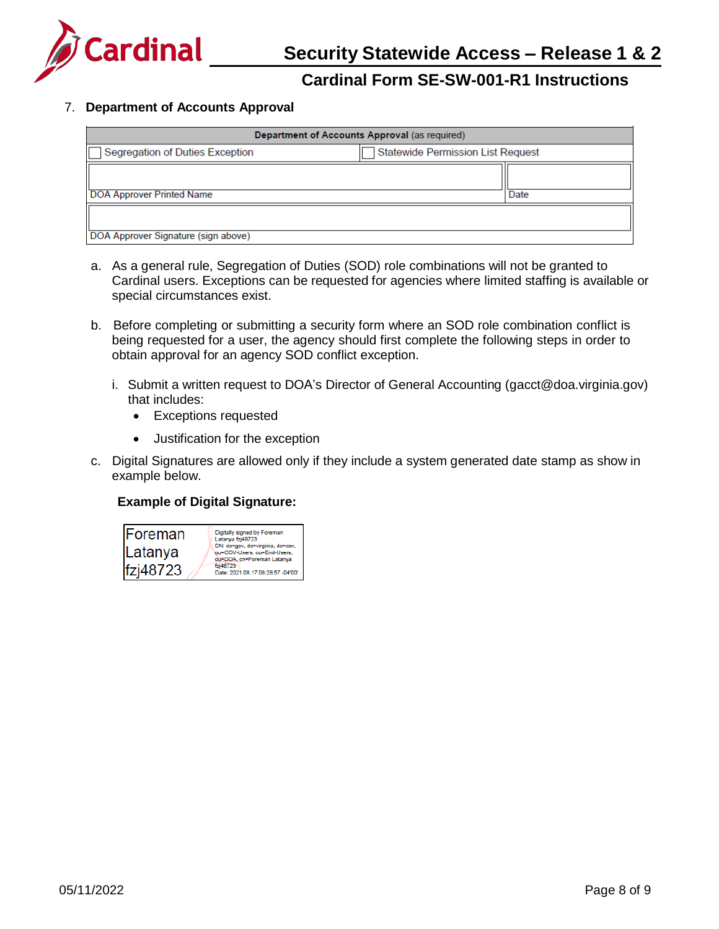

### 7. **Department of Accounts Approval**

| Department of Accounts Approval (as required) |                                          |      |  |  |  |
|-----------------------------------------------|------------------------------------------|------|--|--|--|
| Segregation of Duties Exception               | <b>Statewide Permission List Request</b> |      |  |  |  |
| <b>DOA Approver Printed Name</b>              |                                          | Date |  |  |  |
| DOA Approver Signature (sign above)           |                                          |      |  |  |  |

- a. As a general rule, Segregation of Duties (SOD) role combinations will not be granted to Cardinal users. Exceptions can be requested for agencies where limited staffing is available or special circumstances exist.
- b. Before completing or submitting a security form where an SOD role combination conflict is being requested for a user, the agency should first complete the following steps in order to obtain approval for an agency SOD conflict exception.
	- i. Submit a written request to DOA's Director of General Accounting [\(gacct@doa.virginia.gov\)](mailto:gacct@doa.virginia.gov) that includes:
		- Exceptions requested
		- Justification for the exception
- c. Digital Signatures are allowed only if they include a system generated date stamp as show in example below.

#### **Example of Digital Signature:**